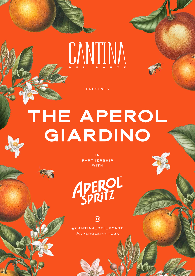# CANTINA

PRESENTS

## **THE APEROL GIARDINO**

I N PARTNERSHIP WITH

APEROL

@CANTINA\_DEL\_PONTE @APEROLSPRITZUK

രി